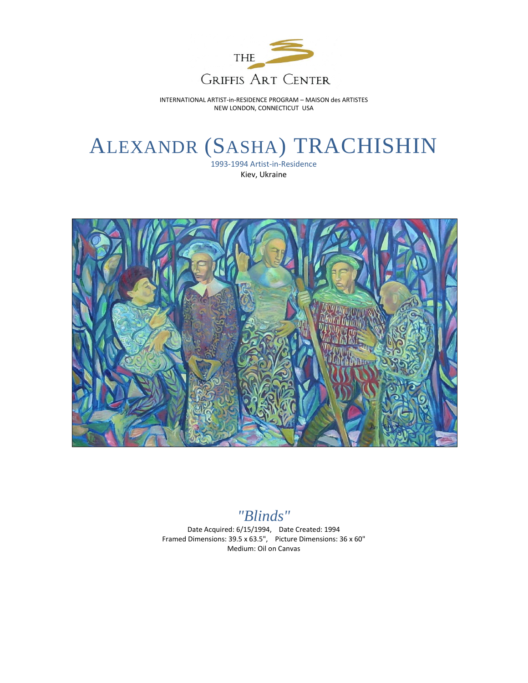

INTERNATIONAL ARTIST-in-RESIDENCE PROGRAM – MAISON des ARTISTES NEW LONDON, CONNECTICUT USA

## ALEXANDR (SASHA) TRACHISHIN

1993-1994 Artist-in-Residence Kiev, Ukraine



*"Blinds"*

Date Acquired: 6/15/1994, Date Created: 1994 Framed Dimensions: 39.5 x 63.5", Picture Dimensions: 36 x 60" Medium: Oil on Canvas